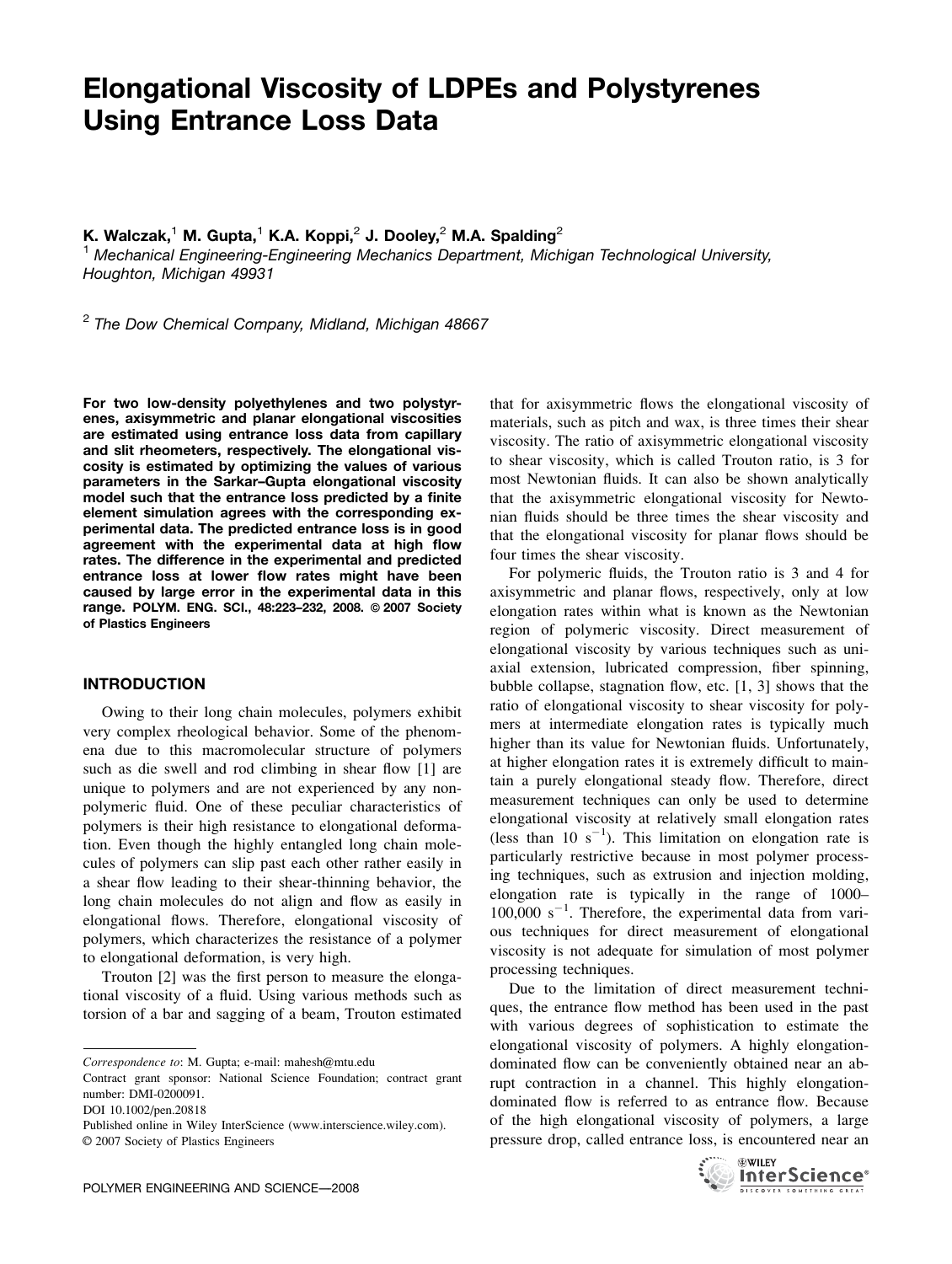# Elongational Viscosity of LDPEs and Polystyrenes Using Entrance Loss Data

K. Walczak,<sup>1</sup> M. Gupta,<sup>1</sup> K.A. Koppi,<sup>2</sup> J. Dooley,<sup>2</sup> M.A. Spalding<sup>2</sup>

<sup>1</sup> Mechanical Engineering-Engineering Mechanics Department, Michigan Technological University, Houghton, Michigan 49931

 $2$  The Dow Chemical Company, Midland, Michigan 48667

For two low-density polyethylenes and two polystyrenes, axisymmetric and planar elongational viscosities are estimated using entrance loss data from capillary and slit rheometers, respectively. The elongational viscosity is estimated by optimizing the values of various parameters in the Sarkar–Gupta elongational viscosity model such that the entrance loss predicted by a finite element simulation agrees with the corresponding experimental data. The predicted entrance loss is in good agreement with the experimental data at high flow rates. The difference in the experimental and predicted entrance loss at lower flow rates might have been caused by large error in the experimental data in this range. POLYM. ENG. SCI., 48:223-232, 2008. @ 2007 Society of Plastics Engineers

#### INTRODUCTION

Owing to their long chain molecules, polymers exhibit very complex rheological behavior. Some of the phenomena due to this macromolecular structure of polymers such as die swell and rod climbing in shear flow [1] are unique to polymers and are not experienced by any nonpolymeric fluid. One of these peculiar characteristics of polymers is their high resistance to elongational deformation. Even though the highly entangled long chain molecules of polymers can slip past each other rather easily in a shear flow leading to their shear-thinning behavior, the long chain molecules do not align and flow as easily in elongational flows. Therefore, elongational viscosity of polymers, which characterizes the resistance of a polymer to elongational deformation, is very high.

Trouton [2] was the first person to measure the elongational viscosity of a fluid. Using various methods such as torsion of a bar and sagging of a beam, Trouton estimated that for axisymmetric flows the elongational viscosity of materials, such as pitch and wax, is three times their shear viscosity. The ratio of axisymmetric elongational viscosity to shear viscosity, which is called Trouton ratio, is 3 for most Newtonian fluids. It can also be shown analytically that the axisymmetric elongational viscosity for Newtonian fluids should be three times the shear viscosity and that the elongational viscosity for planar flows should be four times the shear viscosity.

For polymeric fluids, the Trouton ratio is 3 and 4 for axisymmetric and planar flows, respectively, only at low elongation rates within what is known as the Newtonian region of polymeric viscosity. Direct measurement of elongational viscosity by various techniques such as uniaxial extension, lubricated compression, fiber spinning, bubble collapse, stagnation flow, etc. [1, 3] shows that the ratio of elongational viscosity to shear viscosity for polymers at intermediate elongation rates is typically much higher than its value for Newtonian fluids. Unfortunately, at higher elongation rates it is extremely difficult to maintain a purely elongational steady flow. Therefore, direct measurement techniques can only be used to determine elongational viscosity at relatively small elongation rates (less than 10  $s^{-1}$ ). This limitation on elongation rate is particularly restrictive because in most polymer processing techniques, such as extrusion and injection molding, elongation rate is typically in the range of 1000–  $100,000 \text{ s}^{-1}$ . Therefore, the experimental data from various techniques for direct measurement of elongational viscosity is not adequate for simulation of most polymer processing techniques.

Due to the limitation of direct measurement techniques, the entrance flow method has been used in the past with various degrees of sophistication to estimate the elongational viscosity of polymers. A highly elongationdominated flow can be conveniently obtained near an abrupt contraction in a channel. This highly elongationdominated flow is referred to as entrance flow. Because of the high elongational viscosity of polymers, a large pressure drop, called entrance loss, is encountered near an



Correspondence to: M. Gupta; e-mail: mahesh@mtu.edu

Contract grant sponsor: National Science Foundation; contract grant number: DMI-0200091.

DOI 10.1002/pen.20818

Published online in Wiley InterScience (www.interscience.wiley.com).  $\odot$  2007 Society of Plastics Engineers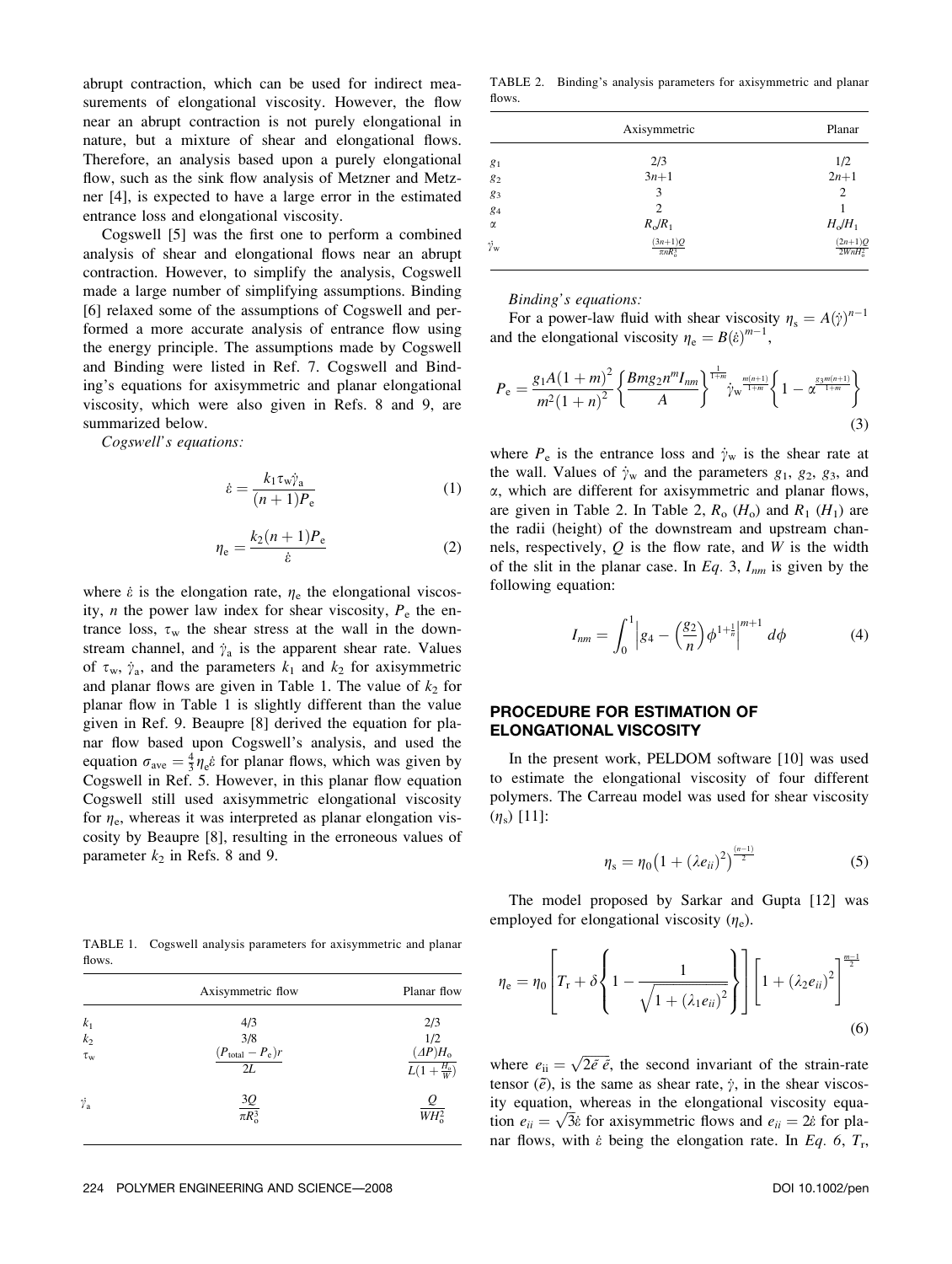abrupt contraction, which can be used for indirect measurements of elongational viscosity. However, the flow near an abrupt contraction is not purely elongational in nature, but a mixture of shear and elongational flows. Therefore, an analysis based upon a purely elongational flow, such as the sink flow analysis of Metzner and Metzner [4], is expected to have a large error in the estimated entrance loss and elongational viscosity.

Cogswell [5] was the first one to perform a combined analysis of shear and elongational flows near an abrupt contraction. However, to simplify the analysis, Cogswell made a large number of simplifying assumptions. Binding [6] relaxed some of the assumptions of Cogswell and performed a more accurate analysis of entrance flow using the energy principle. The assumptions made by Cogswell and Binding were listed in Ref. 7. Cogswell and Binding's equations for axisymmetric and planar elongational viscosity, which were also given in Refs. 8 and 9, are summarized below.

Cogswell's equations:

$$
\dot{\varepsilon} = \frac{k_1 \tau_w \dot{\gamma}_a}{(n+1)P_e} \tag{1}
$$

$$
\eta_{\rm e} = \frac{k_2(n+1)P_{\rm e}}{\dot{\varepsilon}}\tag{2}
$$

where  $\dot{\varepsilon}$  is the elongation rate,  $\eta_e$  the elongational viscosity, *n* the power law index for shear viscosity,  $P_e$  the entrance loss,  $\tau_w$  the shear stress at the wall in the downstream channel, and  $\dot{\gamma}_a$  is the apparent shear rate. Values of  $\tau_w$ ,  $\dot{\gamma}_a$ , and the parameters  $k_1$  and  $k_2$  for axisymmetric and planar flows are given in Table 1. The value of  $k_2$  for planar flow in Table 1 is slightly different than the value given in Ref. 9. Beaupre [8] derived the equation for planar flow based upon Cogswell's analysis, and used the equation  $\sigma_{\text{ave}} = \frac{4}{3} \eta_{\text{e}} \hat{\epsilon}$  for planar flows, which was given by Cogswell in Ref. 5. However, in this planar flow equation Cogswell still used axisymmetric elongational viscosity for  $\eta_e$ , whereas it was interpreted as planar elongation viscosity by Beaupre [8], resulting in the erroneous values of parameter  $k_2$  in Refs. 8 and 9.

TABLE 1. Cogswell analysis parameters for axisymmetric and planar flows.

|                        | Axisymmetric flow                                     | Planar flow                          |  |
|------------------------|-------------------------------------------------------|--------------------------------------|--|
| k <sub>1</sub>         | 4/3                                                   | 2/3                                  |  |
| $k_{\rm 2}$            |                                                       | 1/2                                  |  |
| $\tau_{\rm w}$         | $\frac{3/8}{(P_{\text{total}}-P_{\text{e}}) r}$<br>2L | $\frac{(AP)H_0}{L(1+\frac{H_0}{W})}$ |  |
| $\dot{\gamma}_{\rm a}$ | $\frac{3Q}{\pi R_0^3}$                                | $\frac{Q}{W H_0^2}$                  |  |

TABLE 2. Binding's analysis parameters for axisymmetric and planar flows.

|                        | Axisymmetric                                           | Planar                     |
|------------------------|--------------------------------------------------------|----------------------------|
| $g_1$                  | 2/3                                                    | 1/2                        |
| $g_2$                  | $3n+1$                                                 | $2n+1$                     |
| $g_3$                  | 3                                                      | 2                          |
| $g_4$                  | 2                                                      |                            |
| $\alpha$               |                                                        | $H_0/H_1$                  |
| $\dot{\gamma_{\rm w}}$ | $R_{\rm o}/R_1$<br>$\frac{(3n+1)Q}{\pi n R_{\rm o}^3}$ | $\frac{(2n+1)Q}{2WnH_0^2}$ |

#### Binding's equations:

For a power-law fluid with shear viscosity  $\eta_s = A(\dot{y})^{n-1}$ and the elongational viscosity  $\eta_e = B(\dot{e})^{m-1}$ ,

$$
P_{\rm e} = \frac{g_1 A (1 + m)^2}{m^2 (1 + n)^2} \left\{ \frac{B m g_2 n^m I_{nm}}{A} \right\}^{\frac{1}{1 + m}} \hat{\gamma}_{\rm w}^{\frac{m(n+1)}{1 + m}} \left\{ 1 - \alpha^{\frac{g_3 m(n+1)}{1 + m}} \right\} \tag{3}
$$

where  $P_e$  is the entrance loss and  $\dot{\gamma}_w$  is the shear rate at the wall. Values of  $\dot{\gamma}_w$  and the parameters  $g_1$ ,  $g_2$ ,  $g_3$ , and  $\alpha$ , which are different for axisymmetric and planar flows, are given in Table 2. In Table 2,  $R_0$  ( $H_0$ ) and  $R_1$  ( $H_1$ ) are the radii (height) of the downstream and upstream channels, respectively,  $Q$  is the flow rate, and  $W$  is the width of the slit in the planar case. In Eq. 3,  $I_{nm}$  is given by the following equation:

$$
I_{nm} = \int_0^1 \left| g_4 - \left(\frac{g_2}{n}\right) \phi^{1 + \frac{1}{n}} \right|^{m+1} d\phi \tag{4}
$$

## PROCEDURE FOR ESTIMATION OF ELONGATIONAL VISCOSITY

In the present work, PELDOM software [10] was used to estimate the elongational viscosity of four different polymers. The Carreau model was used for shear viscosity  $(\eta_s)$  [11]:

$$
\eta_s = \eta_0 \big( 1 + (\lambda e_{ii})^2 \big)^{\frac{(n-1)}{2}} \tag{5}
$$

The model proposed by Sarkar and Gupta [12] was employed for elongational viscosity  $(\eta_e)$ .

$$
\eta_{\rm e} = \eta_0 \left[ T_{\rm r} + \delta \left\{ 1 - \frac{1}{\sqrt{1 + (\lambda_1 e_{ii})^2}} \right\} \right] \left[ 1 + (\lambda_2 e_{ii})^2 \right]^{\frac{m-1}{2}} \tag{6}
$$

where  $e_{ii} = \sqrt{2\tilde{e}} \tilde{e}$ , the second invariant of the strain-rate tensor ( $\tilde{e}$ ), is the same as shear rate,  $\dot{\gamma}$ , in the shear viscosity equation, whereas in the elongational viscosity equation  $e_{ii} = \sqrt{3}\hat{\epsilon}$  for axisymmetric flows and  $e_{ii} = 2\hat{\epsilon}$  for planar flows, with  $\dot{\epsilon}$  being the elongation rate. In Eq. 6,  $T_r$ ,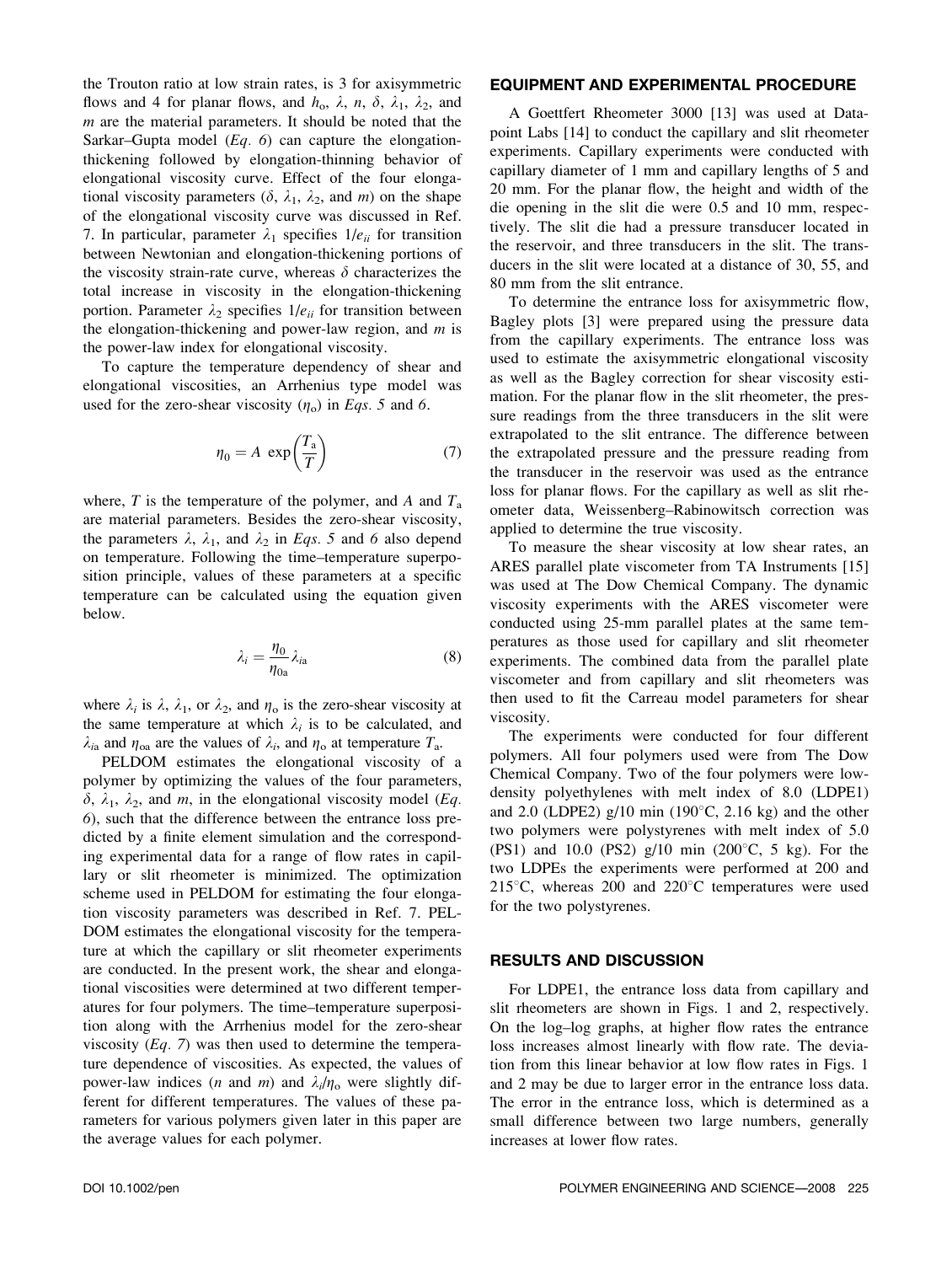the Trouton ratio at low strain rates, is 3 for axisymmetric flows and 4 for planar flows, and  $h_0$ ,  $\lambda$ ,  $n$ ,  $\delta$ ,  $\lambda_1$ ,  $\lambda_2$ , and  $m$  are the material parameters. It should be noted that the Sarkar–Gupta model  $(Eq. 6)$  can capture the elongationthickening followed by elongation-thinning behavior of elongational viscosity curve. Effect of the four elongational viscosity parameters  $(\delta, \lambda_1, \lambda_2, \lambda_3)$  and m on the shape of the elongational viscosity curve was discussed in Ref. 7. In particular, parameter  $\lambda_1$  specifies  $1/e_{ii}$  for transition between Newtonian and elongation-thickening portions of the viscosity strain-rate curve, whereas  $\delta$  characterizes the total increase in viscosity in the elongation-thickening portion. Parameter  $\lambda_2$  specifies  $1/e_{ii}$  for transition between the elongation-thickening and power-law region, and  $m$  is the power-law index for elongational viscosity.

To capture the temperature dependency of shear and elongational viscosities, an Arrhenius type model was used for the zero-shear viscosity  $(\eta_0)$  in Eqs. 5 and 6.

$$
\eta_0 = A \, \exp\left(\frac{T_a}{T}\right) \tag{7}
$$

where, T is the temperature of the polymer, and A and  $T_a$ are material parameters. Besides the zero-shear viscosity, the parameters  $\lambda$ ,  $\lambda_1$ , and  $\lambda_2$  in *Eqs.* 5 and 6 also depend on temperature. Following the time–temperature superposition principle, values of these parameters at a specific temperature can be calculated using the equation given below.

$$
\lambda_i = \frac{\eta_0}{\eta_{0a}} \lambda_{ia} \tag{8}
$$

where  $\lambda_i$  is  $\lambda$ ,  $\lambda_1$ , or  $\lambda_2$ , and  $\eta_0$  is the zero-shear viscosity at the same temperature at which  $\lambda_i$  is to be calculated, and  $\lambda_{ia}$  and  $\eta_{oa}$  are the values of  $\lambda_i$ , and  $\eta_o$  at temperature  $T_a$ .

PELDOM estimates the elongational viscosity of a polymer by optimizing the values of the four parameters,  $\delta$ ,  $\lambda_1$ ,  $\lambda_2$ , and m, in the elongational viscosity model (*Eq.*) 6), such that the difference between the entrance loss predicted by a finite element simulation and the corresponding experimental data for a range of flow rates in capillary or slit rheometer is minimized. The optimization scheme used in PELDOM for estimating the four elongation viscosity parameters was described in Ref. 7. PEL-DOM estimates the elongational viscosity for the temperature at which the capillary or slit rheometer experiments are conducted. In the present work, the shear and elongational viscosities were determined at two different temperatures for four polymers. The time–temperature superposition along with the Arrhenius model for the zero-shear viscosity  $(Eq. 7)$  was then used to determine the temperature dependence of viscosities. As expected, the values of power-law indices (*n* and *m*) and  $\lambda_i/n_o$  were slightly different for different temperatures. The values of these parameters for various polymers given later in this paper are the average values for each polymer.

# EQUIPMENT AND EXPERIMENTAL PROCEDURE

A Goettfert Rheometer 3000 [13] was used at Datapoint Labs [14] to conduct the capillary and slit rheometer experiments. Capillary experiments were conducted with capillary diameter of 1 mm and capillary lengths of 5 and 20 mm. For the planar flow, the height and width of the die opening in the slit die were 0.5 and 10 mm, respectively. The slit die had a pressure transducer located in the reservoir, and three transducers in the slit. The transducers in the slit were located at a distance of 30, 55, and 80 mm from the slit entrance.

To determine the entrance loss for axisymmetric flow, Bagley plots [3] were prepared using the pressure data from the capillary experiments. The entrance loss was used to estimate the axisymmetric elongational viscosity as well as the Bagley correction for shear viscosity estimation. For the planar flow in the slit rheometer, the pressure readings from the three transducers in the slit were extrapolated to the slit entrance. The difference between the extrapolated pressure and the pressure reading from the transducer in the reservoir was used as the entrance loss for planar flows. For the capillary as well as slit rheometer data, Weissenberg–Rabinowitsch correction was applied to determine the true viscosity.

To measure the shear viscosity at low shear rates, an ARES parallel plate viscometer from TA Instruments [15] was used at The Dow Chemical Company. The dynamic viscosity experiments with the ARES viscometer were conducted using 25-mm parallel plates at the same temperatures as those used for capillary and slit rheometer experiments. The combined data from the parallel plate viscometer and from capillary and slit rheometers was then used to fit the Carreau model parameters for shear viscosity.

The experiments were conducted for four different polymers. All four polymers used were from The Dow Chemical Company. Two of the four polymers were lowdensity polyethylenes with melt index of 8.0 (LDPE1) and 2.0 (LDPE2) g/10 min (190 $\degree$ C, 2.16 kg) and the other two polymers were polystyrenes with melt index of 5.0 (PS1) and 10.0 (PS2)  $g/10$  min (200 $^{\circ}$ C, 5 kg). For the two LDPEs the experiments were performed at 200 and 215 $\degree$ C, whereas 200 and 220 $\degree$ C temperatures were used for the two polystyrenes.

#### RESULTS AND DISCUSSION

For LDPE1, the entrance loss data from capillary and slit rheometers are shown in Figs. 1 and 2, respectively. On the log–log graphs, at higher flow rates the entrance loss increases almost linearly with flow rate. The deviation from this linear behavior at low flow rates in Figs. 1 and 2 may be due to larger error in the entrance loss data. The error in the entrance loss, which is determined as a small difference between two large numbers, generally increases at lower flow rates.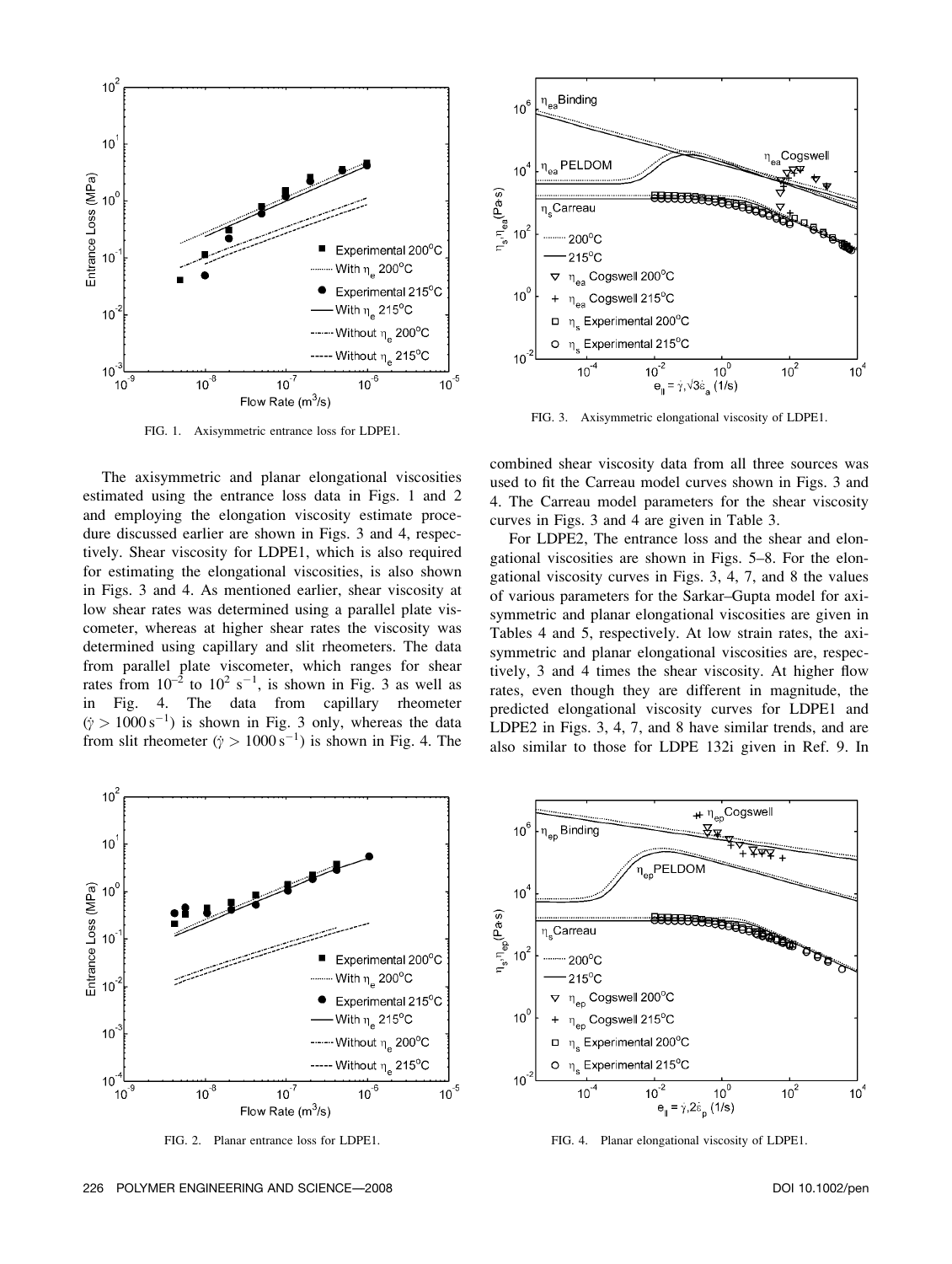

FIG. 1. Axisymmetric entrance loss for LDPE1.

The axisymmetric and planar elongational viscosities estimated using the entrance loss data in Figs. 1 and 2 and employing the elongation viscosity estimate procedure discussed earlier are shown in Figs. 3 and 4, respectively. Shear viscosity for LDPE1, which is also required for estimating the elongational viscosities, is also shown in Figs. 3 and 4. As mentioned earlier, shear viscosity at low shear rates was determined using a parallel plate viscometer, whereas at higher shear rates the viscosity was determined using capillary and slit rheometers. The data from parallel plate viscometer, which ranges for shear rates from  $10^{-2}$  to  $10^{2}$  s<sup>-1</sup>, is shown in Fig. 3 as well as in Fig. 4. The data from capillary rheometer  $(\dot{y} > 1000 \text{ s}^{-1})$  is shown in Fig. 3 only, whereas the data from slit rheometer ( $\dot{y} > 1000 \,\mathrm{s}^{-1}$ ) is shown in Fig. 4. The



FIG. 3. Axisymmetric elongational viscosity of LDPE1.

combined shear viscosity data from all three sources was used to fit the Carreau model curves shown in Figs. 3 and 4. The Carreau model parameters for the shear viscosity curves in Figs. 3 and 4 are given in Table 3.

For LDPE2, The entrance loss and the shear and elongational viscosities are shown in Figs. 5–8. For the elongational viscosity curves in Figs. 3, 4, 7, and 8 the values of various parameters for the Sarkar–Gupta model for axisymmetric and planar elongational viscosities are given in Tables 4 and 5, respectively. At low strain rates, the axisymmetric and planar elongational viscosities are, respectively, 3 and 4 times the shear viscosity. At higher flow rates, even though they are different in magnitude, the predicted elongational viscosity curves for LDPE1 and LDPE2 in Figs. 3, 4, 7, and 8 have similar trends, and are also similar to those for LDPE 132i given in Ref. 9. In



FIG. 2. Planar entrance loss for LDPE1.



FIG. 4. Planar elongational viscosity of LDPE1.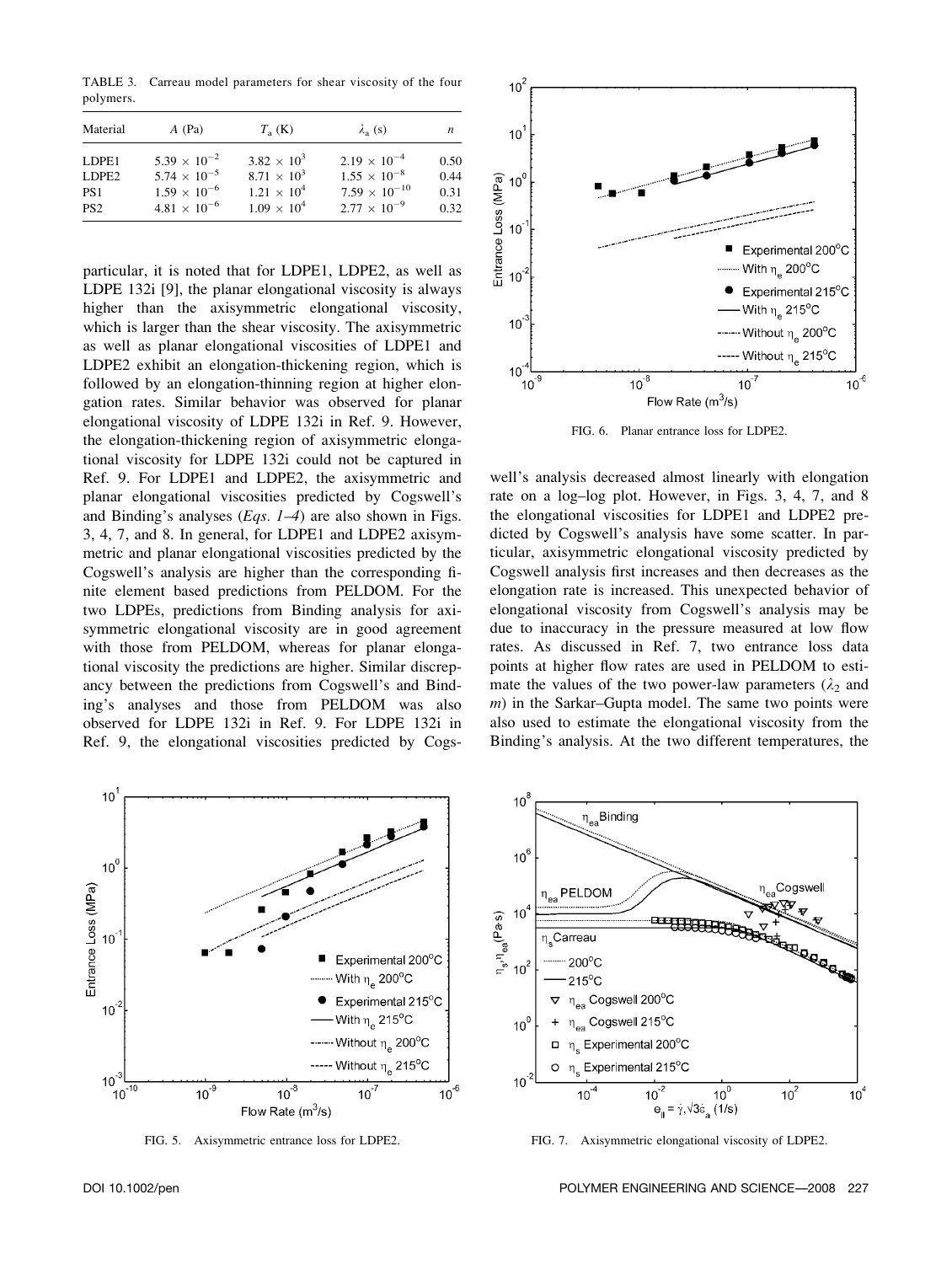TABLE 3. Carreau model parameters for shear viscosity of the four polymers.

| Material        | $A$ (Pa)              | $T_a$ (K)            | $\lambda_{\rm a}$ (s)  | n    |
|-----------------|-----------------------|----------------------|------------------------|------|
| LDPE1           | $5.39 \times 10^{-2}$ | $3.82 \times 10^{3}$ | $2.19 \times 10^{-4}$  | 0.50 |
| LDPE2           | $5.74 \times 10^{-5}$ | $8.71 \times 10^{3}$ | $1.55 \times 10^{-8}$  | 0.44 |
| PS <sub>1</sub> | $1.59 \times 10^{-6}$ | $1.21 \times 10^4$   | $7.59 \times 10^{-10}$ | 0.31 |
| PS <sub>2</sub> | $4.81 \times 10^{-6}$ | $1.09 \times 10^{4}$ | $2.77 \times 10^{-9}$  | 0.32 |

particular, it is noted that for LDPE1, LDPE2, as well as LDPE 132i [9], the planar elongational viscosity is always higher than the axisymmetric elongational viscosity, which is larger than the shear viscosity. The axisymmetric as well as planar elongational viscosities of LDPE1 and LDPE2 exhibit an elongation-thickening region, which is followed by an elongation-thinning region at higher elongation rates. Similar behavior was observed for planar elongational viscosity of LDPE 132i in Ref. 9. However, the elongation-thickening region of axisymmetric elongational viscosity for LDPE 132i could not be captured in Ref. 9. For LDPE1 and LDPE2, the axisymmetric and planar elongational viscosities predicted by Cogswell's and Binding's analyses (*Eqs. 1–4*) are also shown in Figs. 3, 4, 7, and 8. In general, for LDPE1 and LDPE2 axisymmetric and planar elongational viscosities predicted by the Cogswell's analysis are higher than the corresponding finite element based predictions from PELDOM. For the two LDPEs, predictions from Binding analysis for axisymmetric elongational viscosity are in good agreement with those from PELDOM, whereas for planar elongational viscosity the predictions are higher. Similar discrepancy between the predictions from Cogswell's and Binding's analyses and those from PELDOM was also observed for LDPE 132i in Ref. 9. For LDPE 132i in Ref. 9, the elongational viscosities predicted by Cogs-



FIG. 5. Axisymmetric entrance loss for LDPE2.



FIG. 6. Planar entrance loss for LDPE2.

well's analysis decreased almost linearly with elongation rate on a log–log plot. However, in Figs. 3, 4, 7, and 8 the elongational viscosities for LDPE1 and LDPE2 predicted by Cogswell's analysis have some scatter. In particular, axisymmetric elongational viscosity predicted by Cogswell analysis first increases and then decreases as the elongation rate is increased. This unexpected behavior of elongational viscosity from Cogswell's analysis may be due to inaccuracy in the pressure measured at low flow rates. As discussed in Ref. 7, two entrance loss data points at higher flow rates are used in PELDOM to estimate the values of the two power-law parameters ( $\lambda_2$  and m) in the Sarkar–Gupta model. The same two points were also used to estimate the elongational viscosity from the Binding's analysis. At the two different temperatures, the



FIG. 7. Axisymmetric elongational viscosity of LDPE2.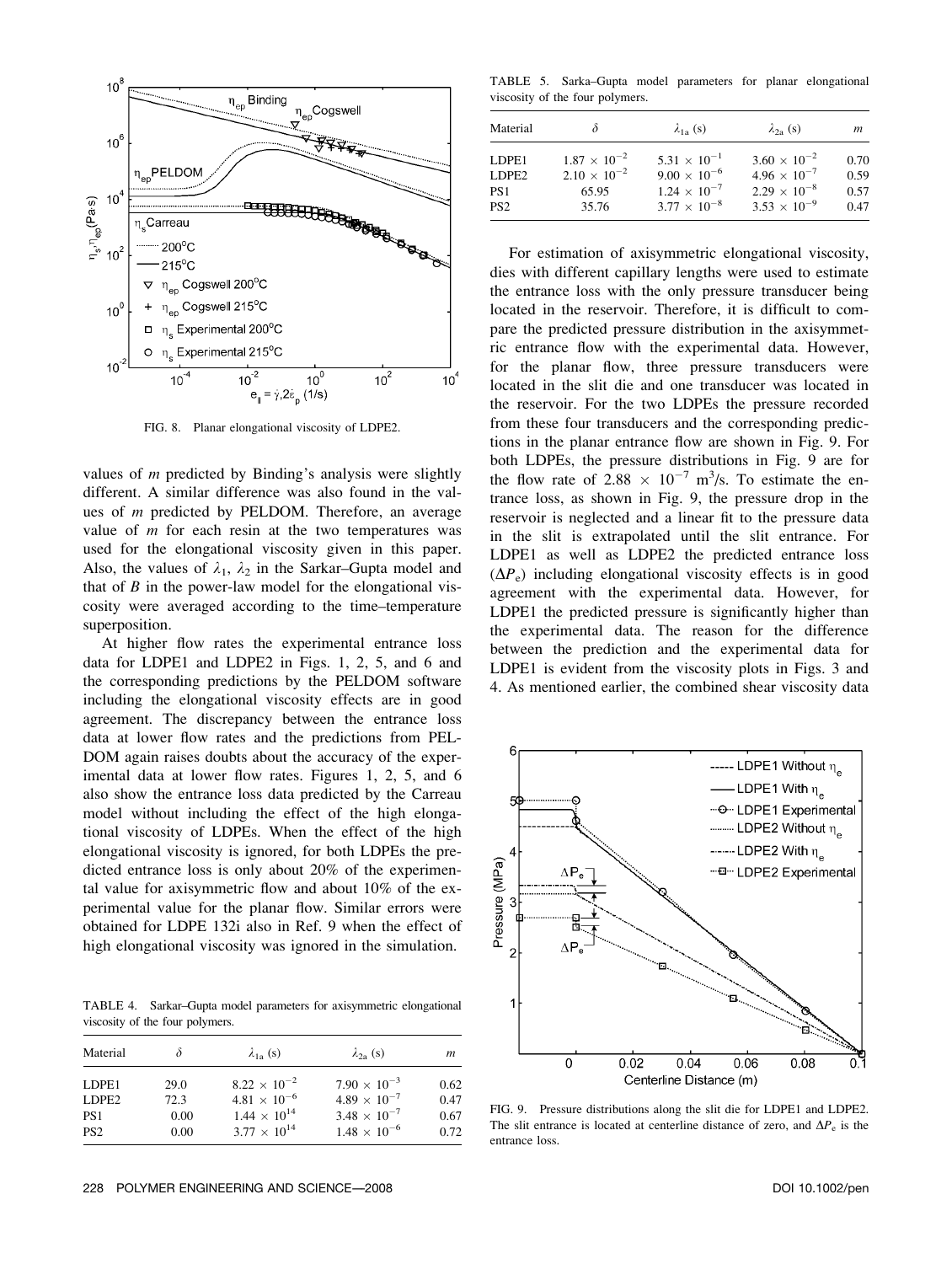

FIG. 8. Planar elongational viscosity of LDPE2.

values of  $m$  predicted by Binding's analysis were slightly different. A similar difference was also found in the values of m predicted by PELDOM. Therefore, an average value of  $m$  for each resin at the two temperatures was used for the elongational viscosity given in this paper. Also, the values of  $\lambda_1$ ,  $\lambda_2$  in the Sarkar–Gupta model and that of  $B$  in the power-law model for the elongational viscosity were averaged according to the time–temperature superposition.

At higher flow rates the experimental entrance loss data for LDPE1 and LDPE2 in Figs. 1, 2, 5, and 6 and the corresponding predictions by the PELDOM software including the elongational viscosity effects are in good agreement. The discrepancy between the entrance loss data at lower flow rates and the predictions from PEL-DOM again raises doubts about the accuracy of the experimental data at lower flow rates. Figures 1, 2, 5, and 6 also show the entrance loss data predicted by the Carreau model without including the effect of the high elongational viscosity of LDPEs. When the effect of the high elongational viscosity is ignored, for both LDPEs the predicted entrance loss is only about 20% of the experimental value for axisymmetric flow and about 10% of the experimental value for the planar flow. Similar errors were obtained for LDPE 132i also in Ref. 9 when the effect of high elongational viscosity was ignored in the simulation.

TABLE 4. Sarkar–Gupta model parameters for axisymmetric elongational viscosity of the four polymers.

| Material          |      | $\lambda_{1a}$ (s)    | $\lambda_{2a}$ (s)    | m    |
|-------------------|------|-----------------------|-----------------------|------|
| LDPE1             | 29.0 | $8.22 \times 10^{-2}$ | $7.90 \times 10^{-3}$ | 0.62 |
| LDPE <sub>2</sub> | 72.3 | $4.81 \times 10^{-6}$ | $4.89 \times 10^{-7}$ | 0.47 |
| PS <sub>1</sub>   | 0.00 | $1.44 \times 10^{14}$ | $3.48 \times 10^{-7}$ | 0.67 |
| PS <sub>2</sub>   | 0.00 | $3.77 \times 10^{14}$ | $1.48 \times 10^{-6}$ | 0.72 |

TABLE 5. Sarka–Gupta model parameters for planar elongational viscosity of the four polymers.

| Material        |                                                | $\lambda_{1a}$ (s)                             | $\lambda_{2a}$ (s)                             | m            |
|-----------------|------------------------------------------------|------------------------------------------------|------------------------------------------------|--------------|
| LDPE1<br>LDPE2  | $1.87 \times 10^{-2}$<br>$2.10 \times 10^{-2}$ | $5.31 \times 10^{-1}$<br>$9.00 \times 10^{-6}$ | $3.60 \times 10^{-2}$<br>$4.96 \times 10^{-7}$ | 0.70<br>0.59 |
| PS <sub>1</sub> | 65.95                                          | $1.24 \times 10^{-7}$                          | $2.29 \times 10^{-8}$                          | 0.57         |
| PS <sub>2</sub> | 35.76                                          | $3.77 \times 10^{-8}$                          | $3.53 \times 10^{-9}$                          | 0.47         |

For estimation of axisymmetric elongational viscosity, dies with different capillary lengths were used to estimate the entrance loss with the only pressure transducer being located in the reservoir. Therefore, it is difficult to compare the predicted pressure distribution in the axisymmetric entrance flow with the experimental data. However, for the planar flow, three pressure transducers were located in the slit die and one transducer was located in the reservoir. For the two LDPEs the pressure recorded from these four transducers and the corresponding predictions in the planar entrance flow are shown in Fig. 9. For both LDPEs, the pressure distributions in Fig. 9 are for the flow rate of 2.88  $\times$  10<sup>-7</sup> m<sup>3</sup>/s. To estimate the entrance loss, as shown in Fig. 9, the pressure drop in the reservoir is neglected and a linear fit to the pressure data in the slit is extrapolated until the slit entrance. For LDPE1 as well as LDPE2 the predicted entrance loss  $(\Delta P_e)$  including elongational viscosity effects is in good agreement with the experimental data. However, for LDPE1 the predicted pressure is significantly higher than the experimental data. The reason for the difference between the prediction and the experimental data for LDPE1 is evident from the viscosity plots in Figs. 3 and 4. As mentioned earlier, the combined shear viscosity data



FIG. 9. Pressure distributions along the slit die for LDPE1 and LDPE2. The slit entrance is located at centerline distance of zero, and  $\Delta P_e$  is the entrance loss.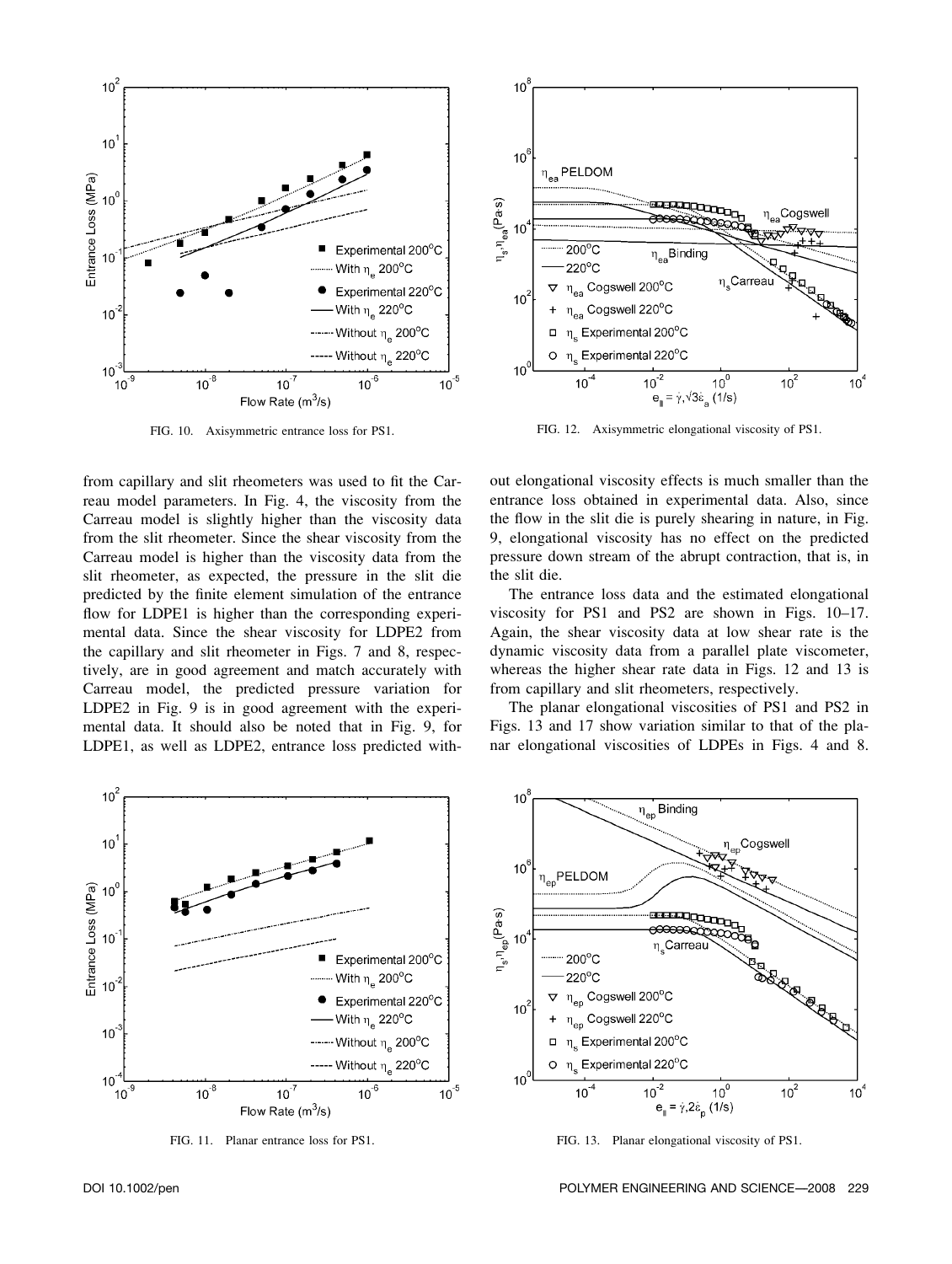

FIG. 10. Axisymmetric entrance loss for PS1.

from capillary and slit rheometers was used to fit the Carreau model parameters. In Fig. 4, the viscosity from the Carreau model is slightly higher than the viscosity data from the slit rheometer. Since the shear viscosity from the Carreau model is higher than the viscosity data from the slit rheometer, as expected, the pressure in the slit die predicted by the finite element simulation of the entrance flow for LDPE1 is higher than the corresponding experimental data. Since the shear viscosity for LDPE2 from the capillary and slit rheometer in Figs. 7 and 8, respectively, are in good agreement and match accurately with Carreau model, the predicted pressure variation for LDPE2 in Fig. 9 is in good agreement with the experimental data. It should also be noted that in Fig. 9, for LDPE1, as well as LDPE2, entrance loss predicted with-



FIG. 11. Planar entrance loss for PS1.



FIG. 12. Axisymmetric elongational viscosity of PS1.

out elongational viscosity effects is much smaller than the entrance loss obtained in experimental data. Also, since the flow in the slit die is purely shearing in nature, in Fig. 9, elongational viscosity has no effect on the predicted pressure down stream of the abrupt contraction, that is, in the slit die.

The entrance loss data and the estimated elongational viscosity for PS1 and PS2 are shown in Figs. 10–17. Again, the shear viscosity data at low shear rate is the dynamic viscosity data from a parallel plate viscometer, whereas the higher shear rate data in Figs. 12 and 13 is from capillary and slit rheometers, respectively.

The planar elongational viscosities of PS1 and PS2 in Figs. 13 and 17 show variation similar to that of the planar elongational viscosities of LDPEs in Figs. 4 and 8.



FIG. 13. Planar elongational viscosity of PS1.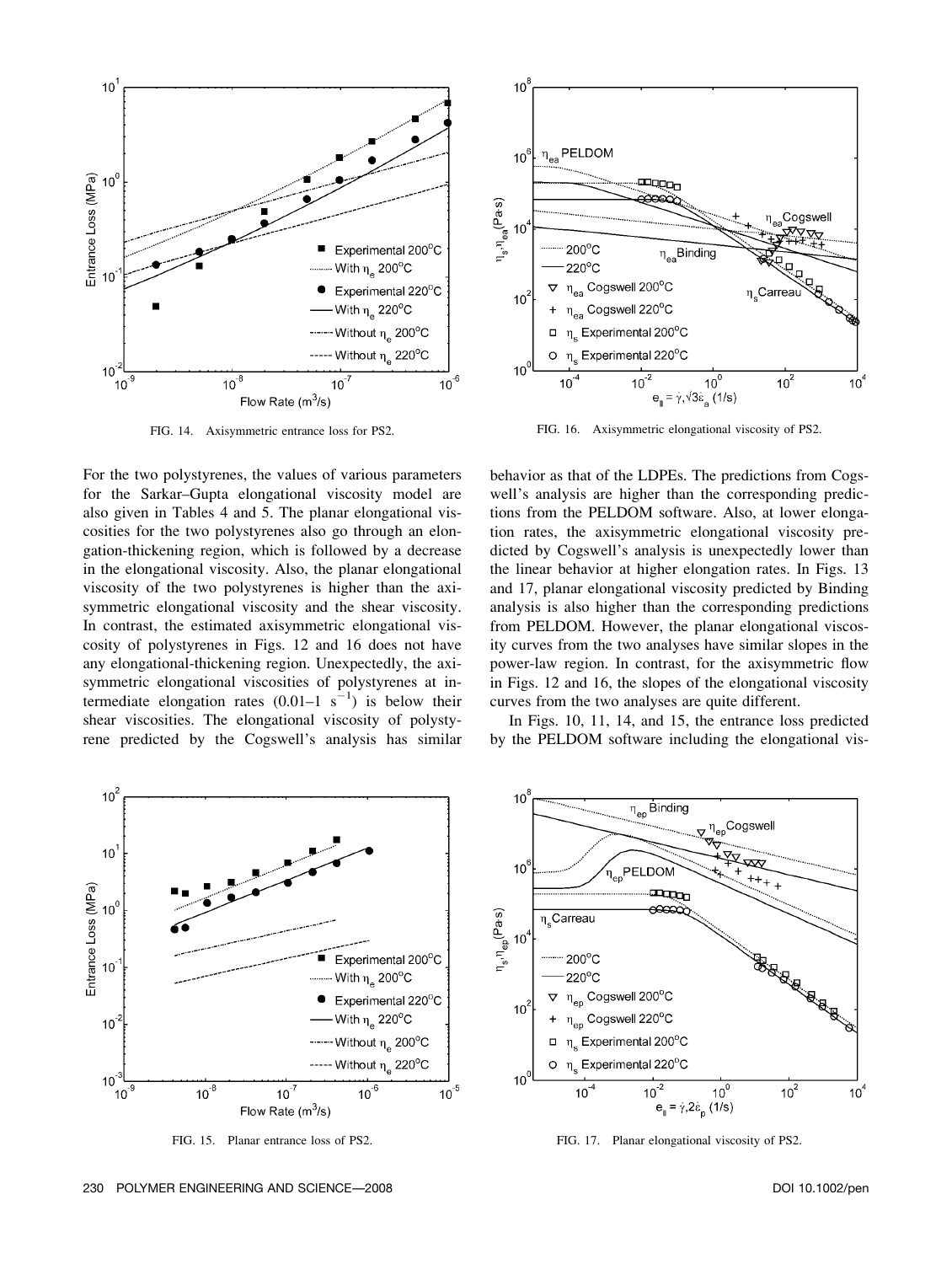

FIG. 14. Axisymmetric entrance loss for PS2.

For the two polystyrenes, the values of various parameters for the Sarkar–Gupta elongational viscosity model are also given in Tables 4 and 5. The planar elongational viscosities for the two polystyrenes also go through an elongation-thickening region, which is followed by a decrease in the elongational viscosity. Also, the planar elongational viscosity of the two polystyrenes is higher than the axisymmetric elongational viscosity and the shear viscosity. In contrast, the estimated axisymmetric elongational viscosity of polystyrenes in Figs. 12 and 16 does not have any elongational-thickening region. Unexpectedly, the axisymmetric elongational viscosities of polystyrenes at intermediate elongation rates  $(0.01-1 \text{ s}^{-1})$  is below their shear viscosities. The elongational viscosity of polystyrene predicted by the Cogswell's analysis has similar



FIG. 15. Planar entrance loss of PS2.



FIG. 16. Axisymmetric elongational viscosity of PS2.

behavior as that of the LDPEs. The predictions from Cogswell's analysis are higher than the corresponding predictions from the PELDOM software. Also, at lower elongation rates, the axisymmetric elongational viscosity predicted by Cogswell's analysis is unexpectedly lower than the linear behavior at higher elongation rates. In Figs. 13 and 17, planar elongational viscosity predicted by Binding analysis is also higher than the corresponding predictions from PELDOM. However, the planar elongational viscosity curves from the two analyses have similar slopes in the power-law region. In contrast, for the axisymmetric flow in Figs. 12 and 16, the slopes of the elongational viscosity curves from the two analyses are quite different.

In Figs. 10, 11, 14, and 15, the entrance loss predicted by the PELDOM software including the elongational vis-



FIG. 17. Planar elongational viscosity of PS2.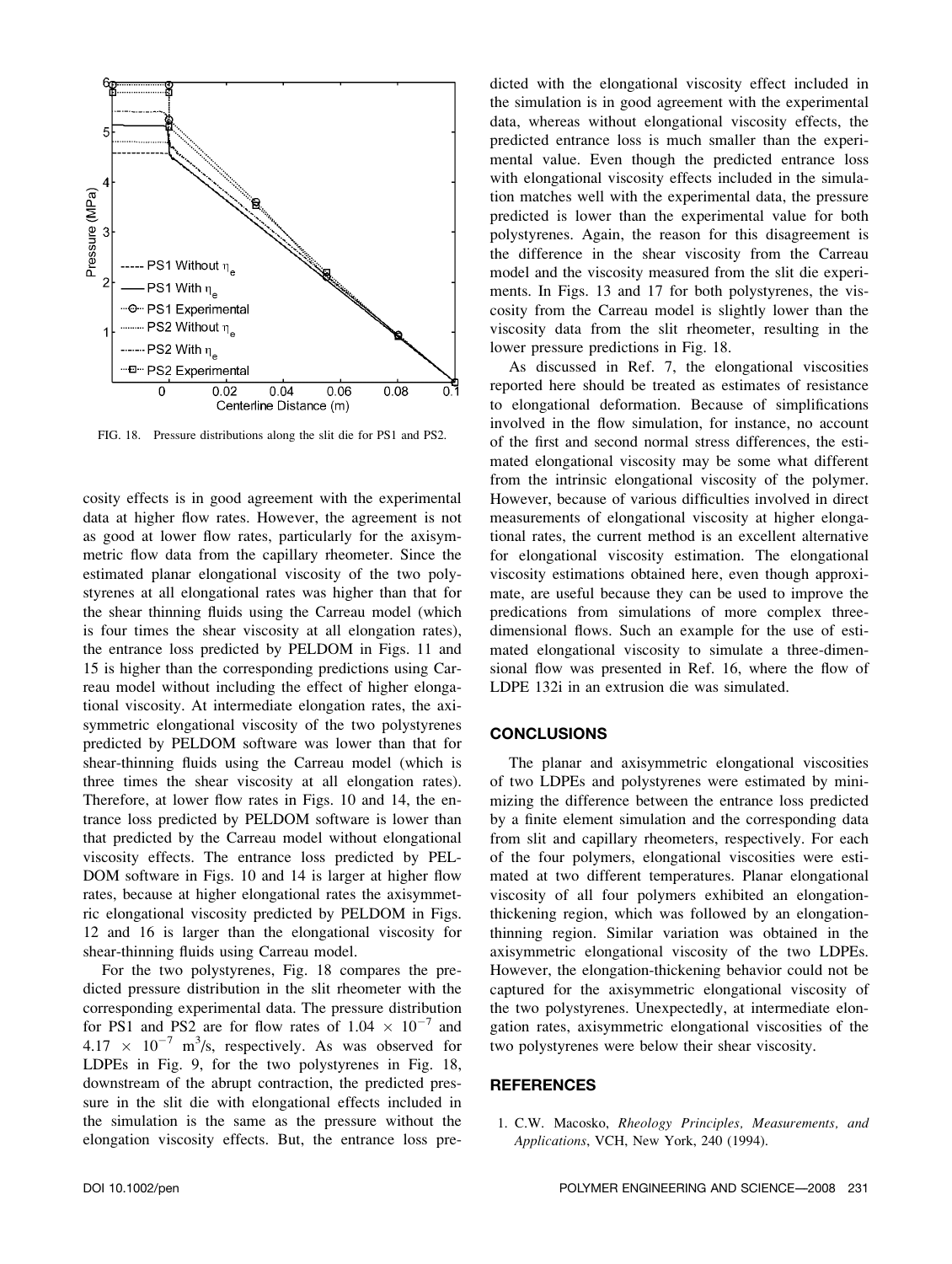

FIG. 18. Pressure distributions along the slit die for PS1 and PS2.

cosity effects is in good agreement with the experimental data at higher flow rates. However, the agreement is not as good at lower flow rates, particularly for the axisymmetric flow data from the capillary rheometer. Since the estimated planar elongational viscosity of the two polystyrenes at all elongational rates was higher than that for the shear thinning fluids using the Carreau model (which is four times the shear viscosity at all elongation rates), the entrance loss predicted by PELDOM in Figs. 11 and 15 is higher than the corresponding predictions using Carreau model without including the effect of higher elongational viscosity. At intermediate elongation rates, the axisymmetric elongational viscosity of the two polystyrenes predicted by PELDOM software was lower than that for shear-thinning fluids using the Carreau model (which is three times the shear viscosity at all elongation rates). Therefore, at lower flow rates in Figs. 10 and 14, the entrance loss predicted by PELDOM software is lower than that predicted by the Carreau model without elongational viscosity effects. The entrance loss predicted by PEL-DOM software in Figs. 10 and 14 is larger at higher flow rates, because at higher elongational rates the axisymmetric elongational viscosity predicted by PELDOM in Figs. 12 and 16 is larger than the elongational viscosity for shear-thinning fluids using Carreau model.

For the two polystyrenes, Fig. 18 compares the predicted pressure distribution in the slit rheometer with the corresponding experimental data. The pressure distribution for PS1 and PS2 are for flow rates of  $1.04 \times 10^{-7}$  and  $4.17 \times 10^{-7}$  m<sup>3</sup>/s, respectively. As was observed for LDPEs in Fig. 9, for the two polystyrenes in Fig. 18, downstream of the abrupt contraction, the predicted pressure in the slit die with elongational effects included in the simulation is the same as the pressure without the elongation viscosity effects. But, the entrance loss predicted with the elongational viscosity effect included in the simulation is in good agreement with the experimental data, whereas without elongational viscosity effects, the predicted entrance loss is much smaller than the experimental value. Even though the predicted entrance loss with elongational viscosity effects included in the simulation matches well with the experimental data, the pressure predicted is lower than the experimental value for both polystyrenes. Again, the reason for this disagreement is the difference in the shear viscosity from the Carreau model and the viscosity measured from the slit die experiments. In Figs. 13 and 17 for both polystyrenes, the viscosity from the Carreau model is slightly lower than the viscosity data from the slit rheometer, resulting in the lower pressure predictions in Fig. 18.

As discussed in Ref. 7, the elongational viscosities reported here should be treated as estimates of resistance to elongational deformation. Because of simplifications involved in the flow simulation, for instance, no account of the first and second normal stress differences, the estimated elongational viscosity may be some what different from the intrinsic elongational viscosity of the polymer. However, because of various difficulties involved in direct measurements of elongational viscosity at higher elongational rates, the current method is an excellent alternative for elongational viscosity estimation. The elongational viscosity estimations obtained here, even though approximate, are useful because they can be used to improve the predications from simulations of more complex threedimensional flows. Such an example for the use of estimated elongational viscosity to simulate a three-dimensional flow was presented in Ref. 16, where the flow of LDPE 132i in an extrusion die was simulated.

#### **CONCLUSIONS**

The planar and axisymmetric elongational viscosities of two LDPEs and polystyrenes were estimated by minimizing the difference between the entrance loss predicted by a finite element simulation and the corresponding data from slit and capillary rheometers, respectively. For each of the four polymers, elongational viscosities were estimated at two different temperatures. Planar elongational viscosity of all four polymers exhibited an elongationthickening region, which was followed by an elongationthinning region. Similar variation was obtained in the axisymmetric elongational viscosity of the two LDPEs. However, the elongation-thickening behavior could not be captured for the axisymmetric elongational viscosity of the two polystyrenes. Unexpectedly, at intermediate elongation rates, axisymmetric elongational viscosities of the two polystyrenes were below their shear viscosity.

## **REFERENCES**

1. C.W. Macosko, Rheology Principles, Measurements, and Applications, VCH, New York, 240 (1994).